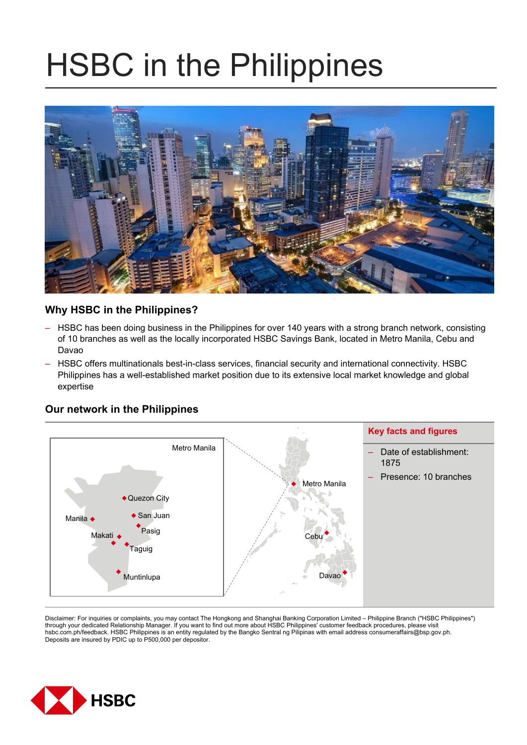# HSBC in the Philippines



# **Why HSBC in the Philippines?**

- HSBC has been doing business in the Philippines for over 140 years with a strong branch network, consisting of 10 branches as well as the locally incorporated HSBC Savings Bank, located in Metro Manila, Cebu and Davao
- HSBC offers multinationals best-in-class services, financial security and international connectivity. HSBC Philippines has a well-established market position due to its extensive local market knowledge and global expertise

## **Our network in the Philippines**



Disclaimer: For inquiries or complaints, you may contact The Hongkong and Shanghai Banking Corporation Limited – Philippine Branch ("HSBC Philippines") through your dedicated Relationship Manager. If you want to find out more about HSBC Philippines' customer feedback procedures, please visit hsbc.com.ph/feedback. HSBC Philippines is an entity regulated by the Bangko Sentral ng Pilipinas with email address consumeraffairs@bsp.gov.ph. Deposits are insured by PDIC up to P500,000 per depositor.